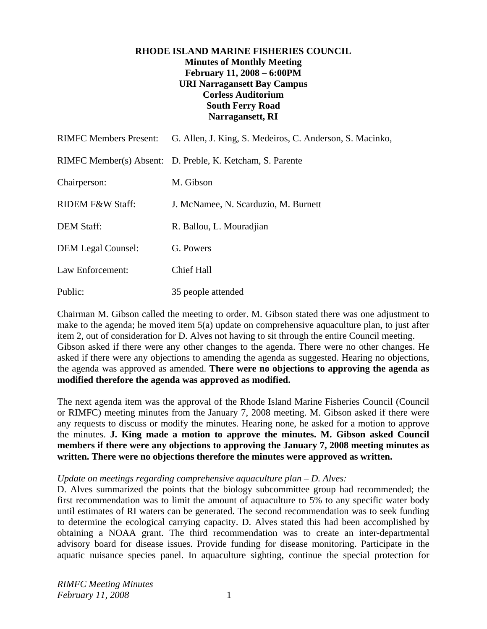# **RHODE ISLAND MARINE FISHERIES COUNCIL Minutes of Monthly Meeting February 11, 2008 – 6:00PM URI Narragansett Bay Campus Corless Auditorium South Ferry Road Narragansett, RI**

| <b>RIMFC Members Present:</b> | G. Allen, J. King, S. Medeiros, C. Anderson, S. Macinko,  |
|-------------------------------|-----------------------------------------------------------|
|                               | RIMFC Member(s) Absent: D. Preble, K. Ketcham, S. Parente |
| Chairperson:                  | M. Gibson                                                 |
| <b>RIDEM F&amp;W Staff:</b>   | J. McNamee, N. Scarduzio, M. Burnett                      |
| <b>DEM Staff:</b>             | R. Ballou, L. Mouradjian                                  |
| <b>DEM Legal Counsel:</b>     | G. Powers                                                 |
| Law Enforcement:              | <b>Chief Hall</b>                                         |
| Public:                       | 35 people attended                                        |

Chairman M. Gibson called the meeting to order. M. Gibson stated there was one adjustment to make to the agenda; he moved item 5(a) update on comprehensive aquaculture plan, to just after item 2, out of consideration for D. Alves not having to sit through the entire Council meeting. Gibson asked if there were any other changes to the agenda. There were no other changes. He asked if there were any objections to amending the agenda as suggested. Hearing no objections, the agenda was approved as amended. **There were no objections to approving the agenda as modified therefore the agenda was approved as modified.**

The next agenda item was the approval of the Rhode Island Marine Fisheries Council (Council or RIMFC) meeting minutes from the January 7, 2008 meeting. M. Gibson asked if there were any requests to discuss or modify the minutes. Hearing none, he asked for a motion to approve the minutes. **J. King made a motion to approve the minutes. M. Gibson asked Council members if there were any objections to approving the January 7, 2008 meeting minutes as written. There were no objections therefore the minutes were approved as written.**

#### *Update on meetings regarding comprehensive aquaculture plan – D. Alves:*

D. Alves summarized the points that the biology subcommittee group had recommended; the first recommendation was to limit the amount of aquaculture to 5% to any specific water body until estimates of RI waters can be generated. The second recommendation was to seek funding to determine the ecological carrying capacity. D. Alves stated this had been accomplished by obtaining a NOAA grant. The third recommendation was to create an inter-departmental advisory board for disease issues. Provide funding for disease monitoring. Participate in the aquatic nuisance species panel. In aquaculture sighting, continue the special protection for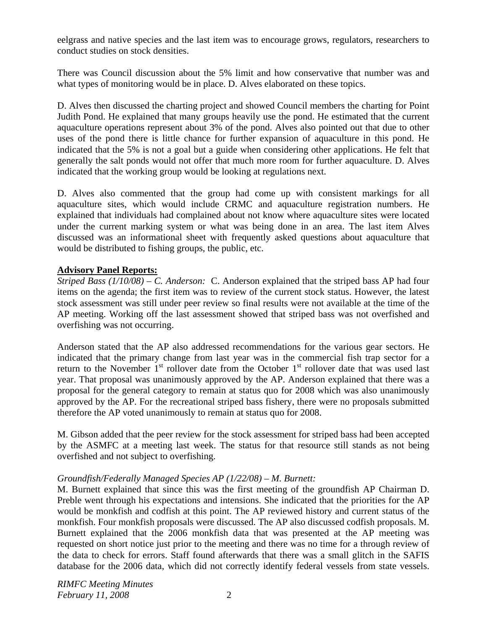eelgrass and native species and the last item was to encourage grows, regulators, researchers to conduct studies on stock densities.

There was Council discussion about the 5% limit and how conservative that number was and what types of monitoring would be in place. D. Alves elaborated on these topics.

D. Alves then discussed the charting project and showed Council members the charting for Point Judith Pond. He explained that many groups heavily use the pond. He estimated that the current aquaculture operations represent about 3% of the pond. Alves also pointed out that due to other uses of the pond there is little chance for further expansion of aquaculture in this pond. He indicated that the 5% is not a goal but a guide when considering other applications. He felt that generally the salt ponds would not offer that much more room for further aquaculture. D. Alves indicated that the working group would be looking at regulations next.

D. Alves also commented that the group had come up with consistent markings for all aquaculture sites, which would include CRMC and aquaculture registration numbers. He explained that individuals had complained about not know where aquaculture sites were located under the current marking system or what was being done in an area. The last item Alves discussed was an informational sheet with frequently asked questions about aquaculture that would be distributed to fishing groups, the public, etc.

# **Advisory Panel Reports:**

*Striped Bass (1/10/08) – C. Anderson:* C. Anderson explained that the striped bass AP had four items on the agenda; the first item was to review of the current stock status. However, the latest stock assessment was still under peer review so final results were not available at the time of the AP meeting. Working off the last assessment showed that striped bass was not overfished and overfishing was not occurring.

Anderson stated that the AP also addressed recommendations for the various gear sectors. He indicated that the primary change from last year was in the commercial fish trap sector for a return to the November  $1<sup>st</sup>$  rollover date from the October  $1<sup>st</sup>$  rollover date that was used last year. That proposal was unanimously approved by the AP. Anderson explained that there was a proposal for the general category to remain at status quo for 2008 which was also unanimously approved by the AP. For the recreational striped bass fishery, there were no proposals submitted therefore the AP voted unanimously to remain at status quo for 2008.

M. Gibson added that the peer review for the stock assessment for striped bass had been accepted by the ASMFC at a meeting last week. The status for that resource still stands as not being overfished and not subject to overfishing.

# *Groundfish/Federally Managed Species AP (1/22/08) – M. Burnett:*

M. Burnett explained that since this was the first meeting of the groundfish AP Chairman D. Preble went through his expectations and intensions. She indicated that the priorities for the AP would be monkfish and codfish at this point. The AP reviewed history and current status of the monkfish. Four monkfish proposals were discussed. The AP also discussed codfish proposals. M. Burnett explained that the 2006 monkfish data that was presented at the AP meeting was requested on short notice just prior to the meeting and there was no time for a through review of the data to check for errors. Staff found afterwards that there was a small glitch in the SAFIS database for the 2006 data, which did not correctly identify federal vessels from state vessels.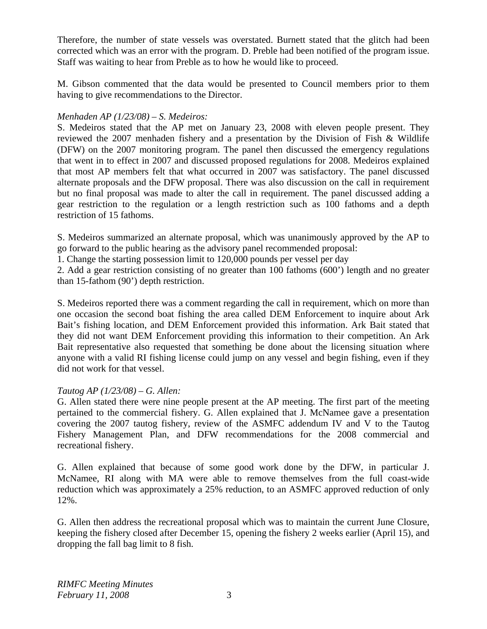Therefore, the number of state vessels was overstated. Burnett stated that the glitch had been corrected which was an error with the program. D. Preble had been notified of the program issue. Staff was waiting to hear from Preble as to how he would like to proceed.

M. Gibson commented that the data would be presented to Council members prior to them having to give recommendations to the Director.

# *Menhaden AP (1/23/08) – S. Medeiros:*

S. Medeiros stated that the AP met on January 23, 2008 with eleven people present. They reviewed the 2007 menhaden fishery and a presentation by the Division of Fish & Wildlife (DFW) on the 2007 monitoring program. The panel then discussed the emergency regulations that went in to effect in 2007 and discussed proposed regulations for 2008. Medeiros explained that most AP members felt that what occurred in 2007 was satisfactory. The panel discussed alternate proposals and the DFW proposal. There was also discussion on the call in requirement but no final proposal was made to alter the call in requirement. The panel discussed adding a gear restriction to the regulation or a length restriction such as 100 fathoms and a depth restriction of 15 fathoms.

S. Medeiros summarized an alternate proposal, which was unanimously approved by the AP to go forward to the public hearing as the advisory panel recommended proposal:

1. Change the starting possession limit to 120,000 pounds per vessel per day

2. Add a gear restriction consisting of no greater than 100 fathoms (600') length and no greater than 15-fathom (90') depth restriction.

S. Medeiros reported there was a comment regarding the call in requirement, which on more than one occasion the second boat fishing the area called DEM Enforcement to inquire about Ark Bait's fishing location, and DEM Enforcement provided this information. Ark Bait stated that they did not want DEM Enforcement providing this information to their competition. An Ark Bait representative also requested that something be done about the licensing situation where anyone with a valid RI fishing license could jump on any vessel and begin fishing, even if they did not work for that vessel.

# *Tautog AP (1/23/08) – G. Allen:*

G. Allen stated there were nine people present at the AP meeting. The first part of the meeting pertained to the commercial fishery. G. Allen explained that J. McNamee gave a presentation covering the 2007 tautog fishery, review of the ASMFC addendum IV and V to the Tautog Fishery Management Plan, and DFW recommendations for the 2008 commercial and recreational fishery.

G. Allen explained that because of some good work done by the DFW, in particular J. McNamee, RI along with MA were able to remove themselves from the full coast-wide reduction which was approximately a 25% reduction, to an ASMFC approved reduction of only 12%.

G. Allen then address the recreational proposal which was to maintain the current June Closure, keeping the fishery closed after December 15, opening the fishery 2 weeks earlier (April 15), and dropping the fall bag limit to 8 fish.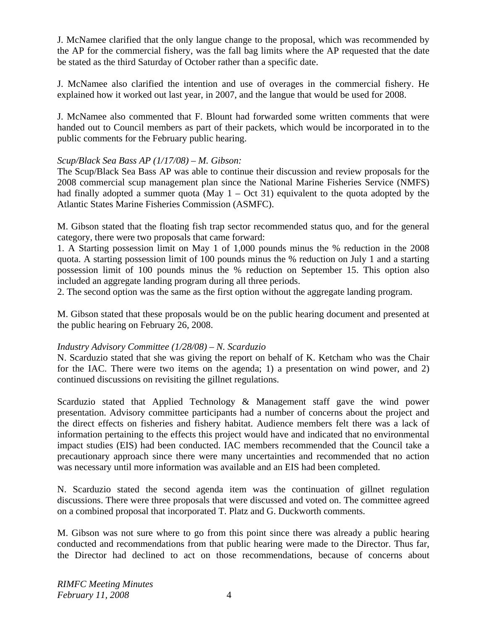J. McNamee clarified that the only langue change to the proposal, which was recommended by the AP for the commercial fishery, was the fall bag limits where the AP requested that the date be stated as the third Saturday of October rather than a specific date.

J. McNamee also clarified the intention and use of overages in the commercial fishery. He explained how it worked out last year, in 2007, and the langue that would be used for 2008.

J. McNamee also commented that F. Blount had forwarded some written comments that were handed out to Council members as part of their packets, which would be incorporated in to the public comments for the February public hearing.

# *Scup/Black Sea Bass AP (1/17/08) – M. Gibson:*

The Scup/Black Sea Bass AP was able to continue their discussion and review proposals for the 2008 commercial scup management plan since the National Marine Fisheries Service (NMFS) had finally adopted a summer quota (May  $1 - Oct 31$ ) equivalent to the quota adopted by the Atlantic States Marine Fisheries Commission (ASMFC).

M. Gibson stated that the floating fish trap sector recommended status quo, and for the general category, there were two proposals that came forward:

1. A Starting possession limit on May 1 of 1,000 pounds minus the % reduction in the 2008 quota. A starting possession limit of 100 pounds minus the % reduction on July 1 and a starting possession limit of 100 pounds minus the % reduction on September 15. This option also included an aggregate landing program during all three periods.

2. The second option was the same as the first option without the aggregate landing program.

M. Gibson stated that these proposals would be on the public hearing document and presented at the public hearing on February 26, 2008.

# *Industry Advisory Committee (1/28/08) – N. Scarduzio*

N. Scarduzio stated that she was giving the report on behalf of K. Ketcham who was the Chair for the IAC. There were two items on the agenda; 1) a presentation on wind power, and 2) continued discussions on revisiting the gillnet regulations.

Scarduzio stated that Applied Technology & Management staff gave the wind power presentation. Advisory committee participants had a number of concerns about the project and the direct effects on fisheries and fishery habitat. Audience members felt there was a lack of information pertaining to the effects this project would have and indicated that no environmental impact studies (EIS) had been conducted. IAC members recommended that the Council take a precautionary approach since there were many uncertainties and recommended that no action was necessary until more information was available and an EIS had been completed.

N. Scarduzio stated the second agenda item was the continuation of gillnet regulation discussions. There were three proposals that were discussed and voted on. The committee agreed on a combined proposal that incorporated T. Platz and G. Duckworth comments.

M. Gibson was not sure where to go from this point since there was already a public hearing conducted and recommendations from that public hearing were made to the Director. Thus far, the Director had declined to act on those recommendations, because of concerns about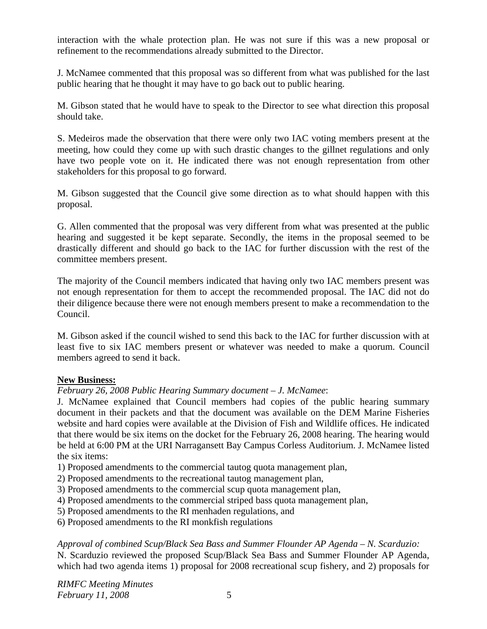interaction with the whale protection plan. He was not sure if this was a new proposal or refinement to the recommendations already submitted to the Director.

J. McNamee commented that this proposal was so different from what was published for the last public hearing that he thought it may have to go back out to public hearing.

M. Gibson stated that he would have to speak to the Director to see what direction this proposal should take.

S. Medeiros made the observation that there were only two IAC voting members present at the meeting, how could they come up with such drastic changes to the gillnet regulations and only have two people vote on it. He indicated there was not enough representation from other stakeholders for this proposal to go forward.

M. Gibson suggested that the Council give some direction as to what should happen with this proposal.

G. Allen commented that the proposal was very different from what was presented at the public hearing and suggested it be kept separate. Secondly, the items in the proposal seemed to be drastically different and should go back to the IAC for further discussion with the rest of the committee members present.

The majority of the Council members indicated that having only two IAC members present was not enough representation for them to accept the recommended proposal. The IAC did not do their diligence because there were not enough members present to make a recommendation to the Council.

M. Gibson asked if the council wished to send this back to the IAC for further discussion with at least five to six IAC members present or whatever was needed to make a quorum. Council members agreed to send it back.

#### **New Business:**

# *February 26, 2008 Public Hearing Summary document – J. McNamee*:

J. McNamee explained that Council members had copies of the public hearing summary document in their packets and that the document was available on the DEM Marine Fisheries website and hard copies were available at the Division of Fish and Wildlife offices. He indicated that there would be six items on the docket for the February 26, 2008 hearing. The hearing would be held at 6:00 PM at the URI Narragansett Bay Campus Corless Auditorium. J. McNamee listed the six items:

1) Proposed amendments to the commercial tautog quota management plan,

- 2) Proposed amendments to the recreational tautog management plan,
- 3) Proposed amendments to the commercial scup quota management plan,
- 4) Proposed amendments to the commercial striped bass quota management plan,
- 5) Proposed amendments to the RI menhaden regulations, and
- 6) Proposed amendments to the RI monkfish regulations

*Approval of combined Scup/Black Sea Bass and Summer Flounder AP Agenda – N. Scarduzio:* N. Scarduzio reviewed the proposed Scup/Black Sea Bass and Summer Flounder AP Agenda, which had two agenda items 1) proposal for 2008 recreational scup fishery, and 2) proposals for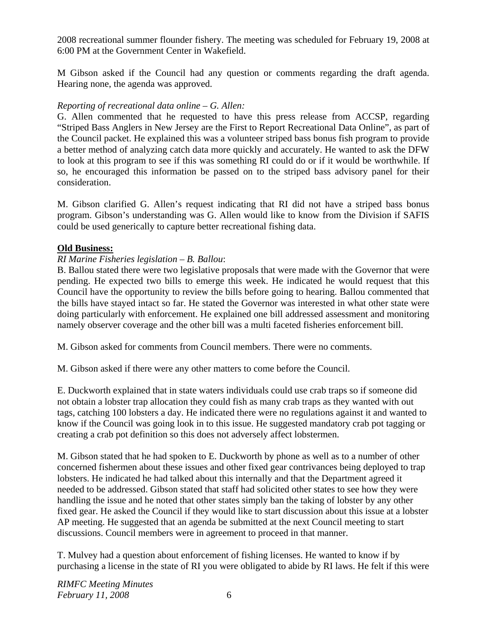2008 recreational summer flounder fishery. The meeting was scheduled for February 19, 2008 at 6:00 PM at the Government Center in Wakefield.

M Gibson asked if the Council had any question or comments regarding the draft agenda. Hearing none, the agenda was approved.

#### *Reporting of recreational data online – G. Allen:*

G. Allen commented that he requested to have this press release from ACCSP, regarding "Striped Bass Anglers in New Jersey are the First to Report Recreational Data Online", as part of the Council packet. He explained this was a volunteer striped bass bonus fish program to provide a better method of analyzing catch data more quickly and accurately. He wanted to ask the DFW to look at this program to see if this was something RI could do or if it would be worthwhile. If so, he encouraged this information be passed on to the striped bass advisory panel for their consideration.

M. Gibson clarified G. Allen's request indicating that RI did not have a striped bass bonus program. Gibson's understanding was G. Allen would like to know from the Division if SAFIS could be used generically to capture better recreational fishing data.

# **Old Business:**

#### *RI Marine Fisheries legislation – B. Ballou*:

B. Ballou stated there were two legislative proposals that were made with the Governor that were pending. He expected two bills to emerge this week. He indicated he would request that this Council have the opportunity to review the bills before going to hearing. Ballou commented that the bills have stayed intact so far. He stated the Governor was interested in what other state were doing particularly with enforcement. He explained one bill addressed assessment and monitoring namely observer coverage and the other bill was a multi faceted fisheries enforcement bill.

M. Gibson asked for comments from Council members. There were no comments.

M. Gibson asked if there were any other matters to come before the Council.

E. Duckworth explained that in state waters individuals could use crab traps so if someone did not obtain a lobster trap allocation they could fish as many crab traps as they wanted with out tags, catching 100 lobsters a day. He indicated there were no regulations against it and wanted to know if the Council was going look in to this issue. He suggested mandatory crab pot tagging or creating a crab pot definition so this does not adversely affect lobstermen.

M. Gibson stated that he had spoken to E. Duckworth by phone as well as to a number of other concerned fishermen about these issues and other fixed gear contrivances being deployed to trap lobsters. He indicated he had talked about this internally and that the Department agreed it needed to be addressed. Gibson stated that staff had solicited other states to see how they were handling the issue and he noted that other states simply ban the taking of lobster by any other fixed gear. He asked the Council if they would like to start discussion about this issue at a lobster AP meeting. He suggested that an agenda be submitted at the next Council meeting to start discussions. Council members were in agreement to proceed in that manner.

T. Mulvey had a question about enforcement of fishing licenses. He wanted to know if by purchasing a license in the state of RI you were obligated to abide by RI laws. He felt if this were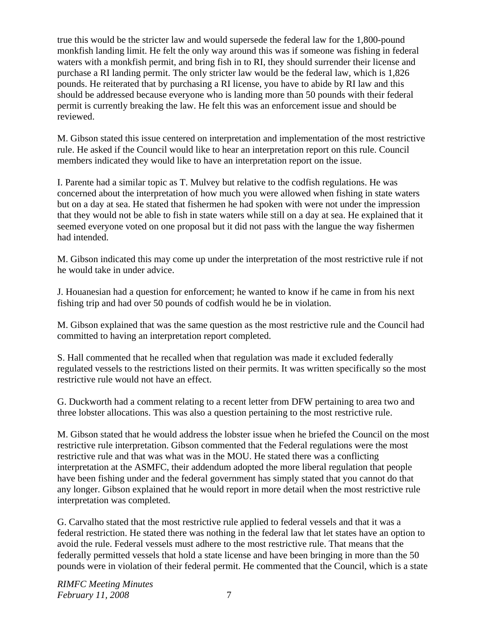true this would be the stricter law and would supersede the federal law for the 1,800-pound monkfish landing limit. He felt the only way around this was if someone was fishing in federal waters with a monkfish permit, and bring fish in to RI, they should surrender their license and purchase a RI landing permit. The only stricter law would be the federal law, which is 1,826 pounds. He reiterated that by purchasing a RI license, you have to abide by RI law and this should be addressed because everyone who is landing more than 50 pounds with their federal permit is currently breaking the law. He felt this was an enforcement issue and should be reviewed.

M. Gibson stated this issue centered on interpretation and implementation of the most restrictive rule. He asked if the Council would like to hear an interpretation report on this rule. Council members indicated they would like to have an interpretation report on the issue.

I. Parente had a similar topic as T. Mulvey but relative to the codfish regulations. He was concerned about the interpretation of how much you were allowed when fishing in state waters but on a day at sea. He stated that fishermen he had spoken with were not under the impression that they would not be able to fish in state waters while still on a day at sea. He explained that it seemed everyone voted on one proposal but it did not pass with the langue the way fishermen had intended.

M. Gibson indicated this may come up under the interpretation of the most restrictive rule if not he would take in under advice.

J. Houanesian had a question for enforcement; he wanted to know if he came in from his next fishing trip and had over 50 pounds of codfish would he be in violation.

M. Gibson explained that was the same question as the most restrictive rule and the Council had committed to having an interpretation report completed.

S. Hall commented that he recalled when that regulation was made it excluded federally regulated vessels to the restrictions listed on their permits. It was written specifically so the most restrictive rule would not have an effect.

G. Duckworth had a comment relating to a recent letter from DFW pertaining to area two and three lobster allocations. This was also a question pertaining to the most restrictive rule.

M. Gibson stated that he would address the lobster issue when he briefed the Council on the most restrictive rule interpretation. Gibson commented that the Federal regulations were the most restrictive rule and that was what was in the MOU. He stated there was a conflicting interpretation at the ASMFC, their addendum adopted the more liberal regulation that people have been fishing under and the federal government has simply stated that you cannot do that any longer. Gibson explained that he would report in more detail when the most restrictive rule interpretation was completed.

G. Carvalho stated that the most restrictive rule applied to federal vessels and that it was a federal restriction. He stated there was nothing in the federal law that let states have an option to avoid the rule. Federal vessels must adhere to the most restrictive rule. That means that the federally permitted vessels that hold a state license and have been bringing in more than the 50 pounds were in violation of their federal permit. He commented that the Council, which is a state